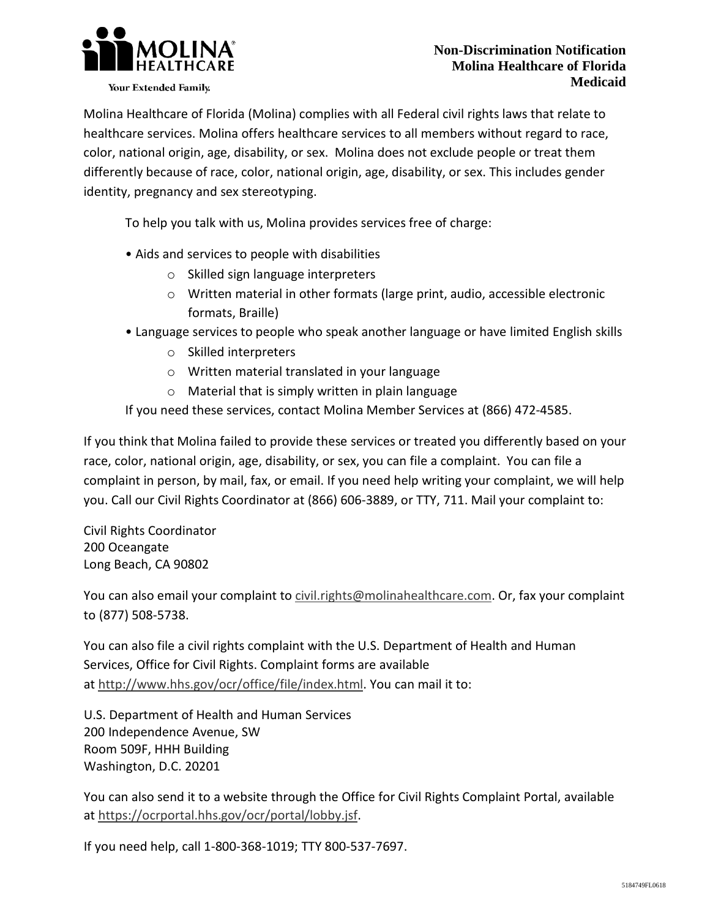

Your Extended Family.

 Molina Healthcare of Florida (Molina) complies with all Federal civil rights laws that relate to healthcare services. Molina offers healthcare services to all members without regard to race, color, national origin, age, disability, or sex. Molina does not exclude people or treat them differently because of race, color, national origin, age, disability, or sex. This includes gender identity, pregnancy and sex stereotyping.

To help you talk with us, Molina provides services free of charge:

- • Aids and services to people with disabilities
	- o Skilled sign language interpreters
	- o Written material in other formats (large print, audio, accessible electronic formats, Braille)
- • Language services to people who speak another language or have limited English skills
	- o Skilled interpreters
	- o Written material translated in your language
	- o Material that is simply written in plain language

If you need these services, contact Molina Member Services at (866) 472-4585.

 If you think that Molina failed to provide these services or treated you differently based on your race, color, national origin, age, disability, or sex, you can file a complaint. You can file a complaint in person, by mail, fax, or email. If you need help writing your complaint, we will help you. Call our Civil Rights Coordinator at (866) 606-3889, or TTY, 711. Mail your complaint to:

 Civil Rights Coordinator 200 Oceangate Long Beach, CA 90802

You can also email your complaint to [civil.rights@molinahealthcare.com.](mailto:civil.rights@molinahealthcare.com) Or, fax your complaint to (877) 508-5738.

 You can also file a civil rights complaint with the U.S. Department of Health and Human Services, Office for Civil Rights. Complaint forms are available at [http://www.hhs.gov/ocr/office/file/index.html.](http://www.hhs.gov/ocr/office/file/index.html) You can mail it to:

 U.S. Department of Health and Human Services 200 Independence Avenue, SW Room 509F, HHH Building Washington, D.C. 20201

 You can also send it to a website through the Office for Civil Rights Complaint Portal, available a[t https://ocrportal.hhs.gov/ocr/portal/lobby.jsf.](https://ocrportal.hhs.gov/ocr/portal/lobby.jsf) 

If you need help, call 1-800-368-1019; TTY 800-537-7697.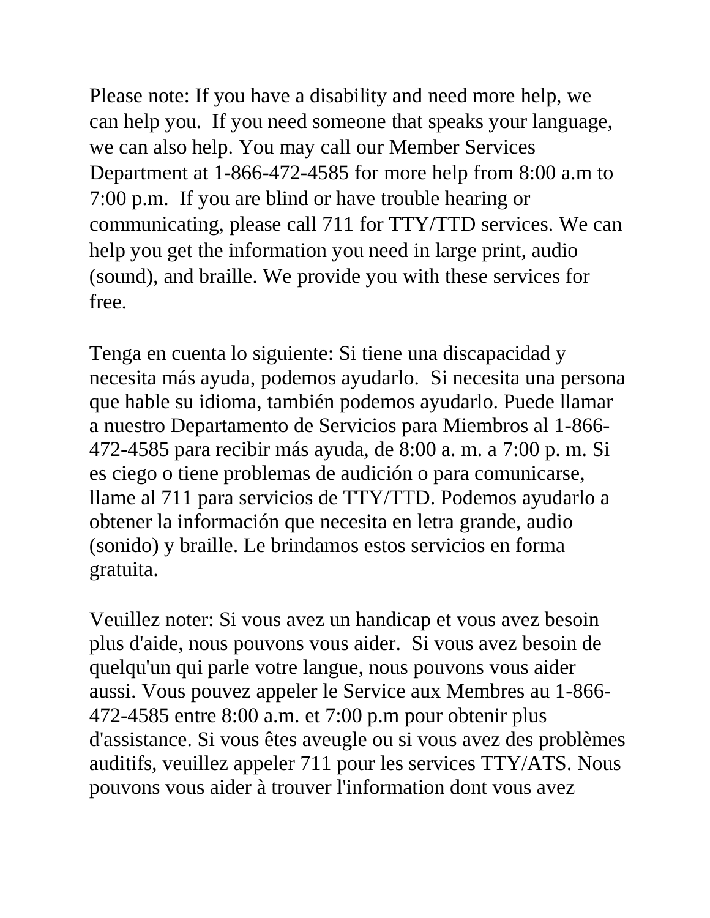Please note: If you have a disability and need more help, we can help you. If you need someone that speaks your language, we can also help. You may call our Member Services Department at 1-866-472-4585 for more help from 8:00 a.m to 7:00 p.m. If you are blind or have trouble hearing or communicating, please call 711 for TTY/TTD services. We can help you get the information you need in large print, audio (sound), and braille. We provide you with these services for free.

 Tenga en cuenta lo siguiente: Si tiene una discapacidad y necesita más ayuda, podemos ayudarlo. Si necesita una persona que hable su idioma, también podemos ayudarlo. Puede llamar a nuestro Departamento de Servicios para Miembros al 1-866 472-4585 para recibir más ayuda, de 8:00 a. m. a 7:00 p. m. Si es ciego o tiene problemas de audición o para comunicarse, obtener la información que necesita en letra grande, audio (sonido) y braille. Le brindamos estos servicios en forma llame al 711 para servicios de TTY/TTD. Podemos ayudarlo a gratuita.

 Veuillez noter: Si vous avez un handicap et vous avez besoin plus d'aide, nous pouvons vous aider. Si vous avez besoin de quelqu'un qui parle votre langue, nous pouvons vous aider aussi. Vous pouvez appeler le Service aux Membres au 1-866 472-4585 entre 8:00 a.m. et 7:00 p.m pour obtenir plus pouvons vous aider à trouver l'information dont vous avez d'assistance. Si vous êtes aveugle ou si vous avez des problèmes auditifs, veuillez appeler 711 pour les services TTY/ATS. Nous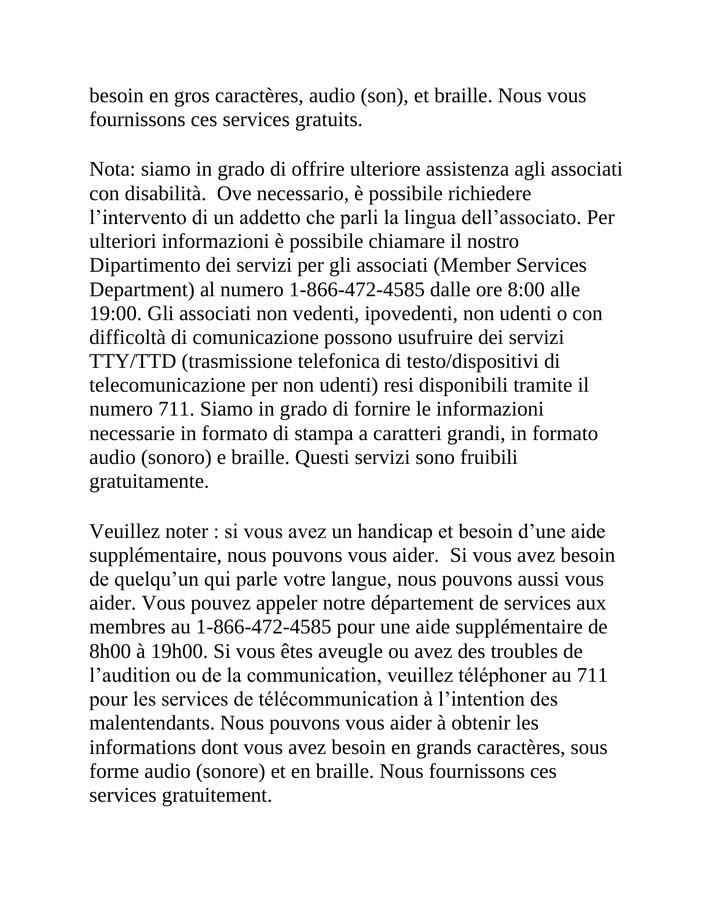besoin en gros caractères, audio (son), et braille. Nous vous fournissons ces services gratuits.

 con disabilità. Ove necessario, è possibile richiedere l'intervento di un addetto che parli la lingua dell'associato. Per ulteriori informazioni è possibile chiamare il nostro Dipartimento dei servizi per gli associati (Member Services 19:00. Gli associati non vedenti, ipovedenti, non udenti o con difficoltà di comunicazione possono usufruire dei servizi numero 711. Siamo in grado di fornire le informazioni necessarie in formato di stampa a caratteri grandi, in formato audio (sonoro) e braille. Questi servizi sono fruibili Nota: siamo in grado di offrire ulteriore assistenza agli associati Department) al numero 1-866-472-4585 dalle ore 8:00 alle TTY/TTD (trasmissione telefonica di testo/dispositivi di telecomunicazione per non udenti) resi disponibili tramite il gratuitamente.

 supplémentaire, nous pouvons vous aider. Si vous avez besoin de quelqu'un qui parle votre langue, nous pouvons aussi vous aider. Vous pouvez appeler notre département de services aux 8h00 à 19h00. Si vous êtes aveugle ou avez des troubles de l'audition ou de la communication, veuillez téléphoner au 711 pour les services de télécommunication à l'intention des malentendants. Nous pouvons vous aider à obtenir les informations dont vous avez besoin en grands caractères, sous forme audio (sonore) et en braille. Nous fournissons ces Veuillez noter : si vous avez un handicap et besoin d'une aide membres au 1-866-472-4585 pour une aide supplémentaire de services gratuitement.